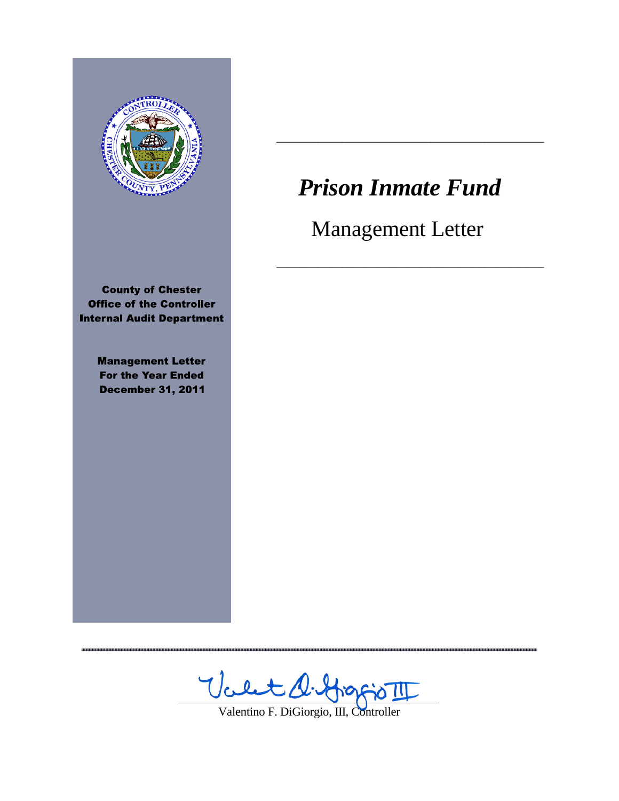

**County of Chester Office of the Controller Internal Audit Department** 

> **Management Letter For the Year Ended December 31, 2011**

,,,,,,,,,,,,,

# **Prison Inmate Fund**

**Management Letter** 

,,,,,,,,,,,,,,,

............

Valtat **DOC** 

Valentino F. DiGiorgio, III, Controller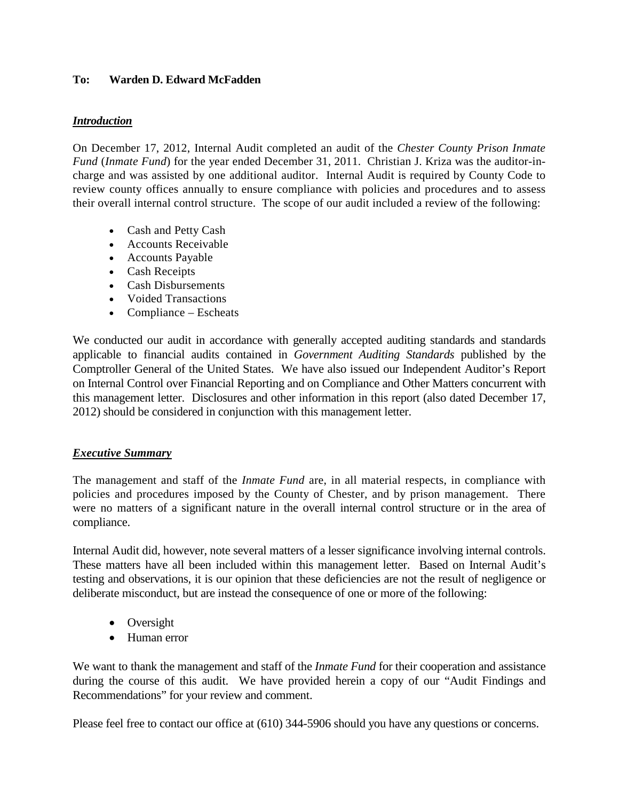## **To: Warden D. Edward McFadden**

## *Introduction*

On December 17, 2012, Internal Audit completed an audit of the *Chester County Prison Inmate Fund* (*Inmate Fund*) for the year ended December 31, 2011. Christian J. Kriza was the auditor-incharge and was assisted by one additional auditor. Internal Audit is required by County Code to review county offices annually to ensure compliance with policies and procedures and to assess their overall internal control structure. The scope of our audit included a review of the following:

- Cash and Petty Cash
- Accounts Receivable
- Accounts Payable
- Cash Receipts
- Cash Disbursements
- Voided Transactions
- Compliance Escheats

We conducted our audit in accordance with generally accepted auditing standards and standards applicable to financial audits contained in *Government Auditing Standards* published by the Comptroller General of the United States. We have also issued our Independent Auditor's Report on Internal Control over Financial Reporting and on Compliance and Other Matters concurrent with this management letter. Disclosures and other information in this report (also dated December 17, 2012) should be considered in conjunction with this management letter.

## *Executive Summary*

The management and staff of the *Inmate Fund* are, in all material respects, in compliance with policies and procedures imposed by the County of Chester, and by prison management. There were no matters of a significant nature in the overall internal control structure or in the area of compliance.

Internal Audit did, however, note several matters of a lesser significance involving internal controls. These matters have all been included within this management letter. Based on Internal Audit's testing and observations, it is our opinion that these deficiencies are not the result of negligence or deliberate misconduct, but are instead the consequence of one or more of the following:

- Oversight
- Human error

We want to thank the management and staff of the *Inmate Fund* for their cooperation and assistance during the course of this audit. We have provided herein a copy of our "Audit Findings and Recommendations" for your review and comment.

Please feel free to contact our office at (610) 344-5906 should you have any questions or concerns.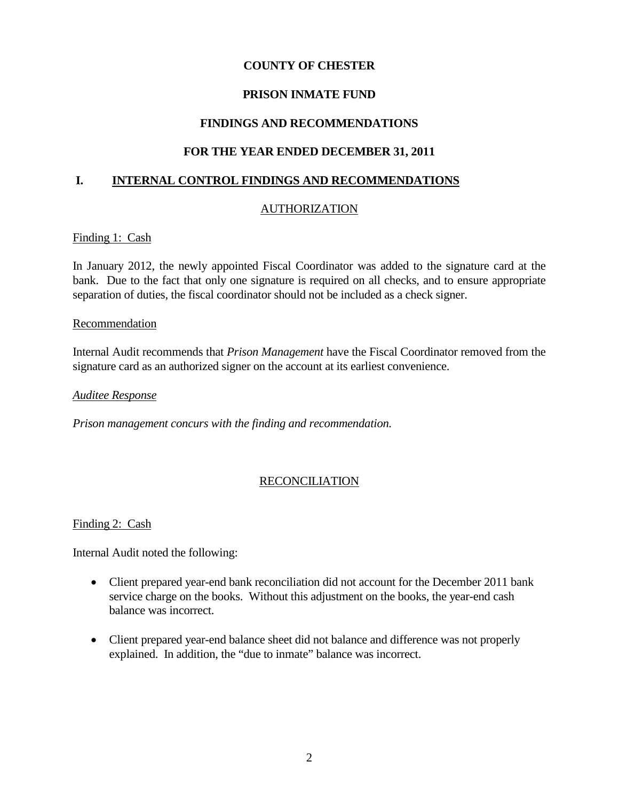## **COUNTY OF CHESTER**

## **PRISON INMATE FUND**

## **FINDINGS AND RECOMMENDATIONS**

## **FOR THE YEAR ENDED DECEMBER 31, 2011**

## **I. INTERNAL CONTROL FINDINGS AND RECOMMENDATIONS**

## AUTHORIZATION

#### Finding 1: Cash

In January 2012, the newly appointed Fiscal Coordinator was added to the signature card at the bank. Due to the fact that only one signature is required on all checks, and to ensure appropriate separation of duties, the fiscal coordinator should not be included as a check signer.

#### Recommendation

Internal Audit recommends that *Prison Management* have the Fiscal Coordinator removed from the signature card as an authorized signer on the account at its earliest convenience.

#### *Auditee Response*

*Prison management concurs with the finding and recommendation.*

## RECONCILIATION

#### Finding 2: Cash

Internal Audit noted the following:

- Client prepared year-end bank reconciliation did not account for the December 2011 bank service charge on the books. Without this adjustment on the books, the year-end cash balance was incorrect.
- Client prepared year-end balance sheet did not balance and difference was not properly explained. In addition, the "due to inmate" balance was incorrect.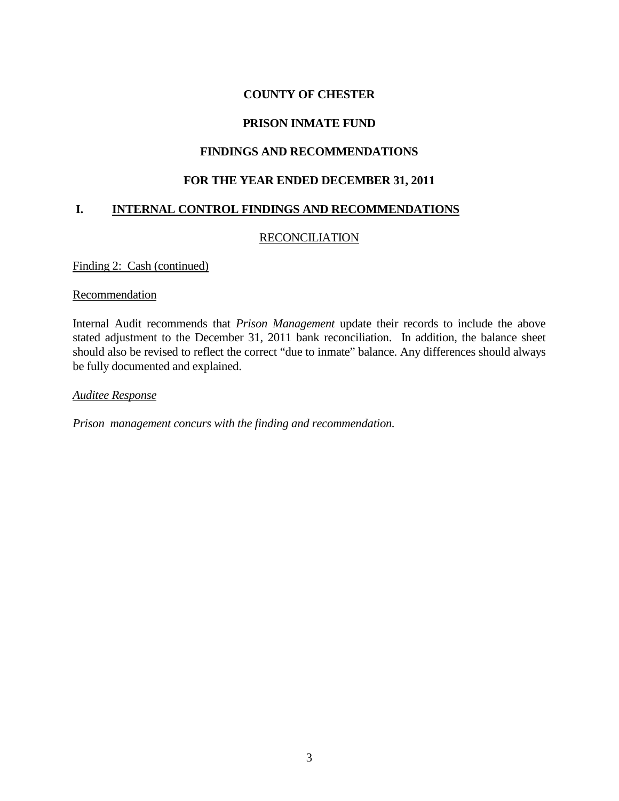## **COUNTY OF CHESTER**

## **PRISON INMATE FUND**

## **FINDINGS AND RECOMMENDATIONS**

## **FOR THE YEAR ENDED DECEMBER 31, 2011**

## **I. INTERNAL CONTROL FINDINGS AND RECOMMENDATIONS**

## **RECONCILIATION**

Finding 2: Cash (continued)

#### **Recommendation**

Internal Audit recommends that *Prison Management* update their records to include the above stated adjustment to the December 31, 2011 bank reconciliation. In addition, the balance sheet should also be revised to reflect the correct "due to inmate" balance. Any differences should always be fully documented and explained.

*Auditee Response*

*Prison management concurs with the finding and recommendation.*